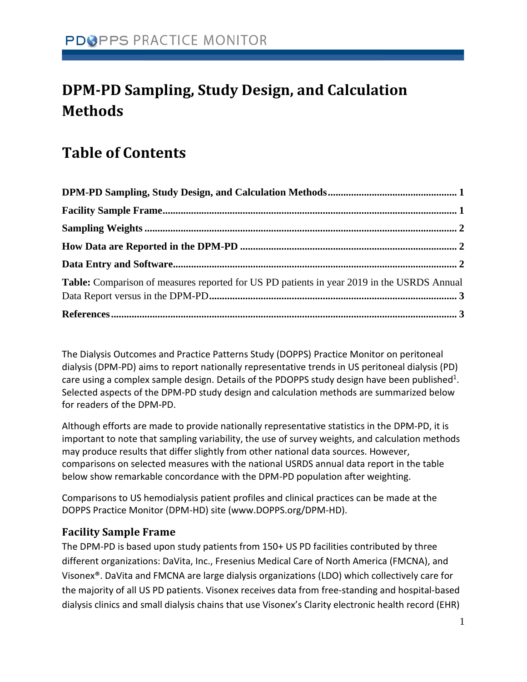# <span id="page-0-0"></span>**DPM-PD Sampling, Study Design, and Calculation Methods**

## **Table of Contents**

| Table: Comparison of measures reported for US PD patients in year 2019 in the USRDS Annual |  |
|--------------------------------------------------------------------------------------------|--|
|                                                                                            |  |

The Dialysis Outcomes and Practice Patterns Study (DOPPS) Practice Monitor on peritoneal dialysis (DPM-PD) aims to report nationally representative trends in US peritoneal dialysis (PD) care using a complex sample design. Details of the PDOPPS study design have been published<sup>1</sup>. Selected aspects of the DPM-PD study design and calculation methods are summarized below for readers of the DPM-PD.

Although efforts are made to provide nationally representative statistics in the DPM-PD, it is important to note that sampling variability, the use of survey weights, and calculation methods may produce results that differ slightly from other national data sources. However, comparisons on selected measures with the national USRDS annual data report in the table below show remarkable concordance with the DPM-PD population after weighting.

Comparisons to US hemodialysis patient profiles and clinical practices can be made at the DOPPS Practice Monitor (DPM-HD) site (www.DOPPS.org/DPM-HD).

## <span id="page-0-1"></span>**Facility Sample Frame**

The DPM-PD is based upon study patients from 150+ US PD facilities contributed by three different organizations: DaVita, Inc., Fresenius Medical Care of North America (FMCNA), and Visonex®. DaVita and FMCNA are large dialysis organizations (LDO) which collectively care for the majority of all US PD patients. Visonex receives data from free-standing and hospital-based dialysis clinics and small dialysis chains that use Visonex's Clarity electronic health record (EHR)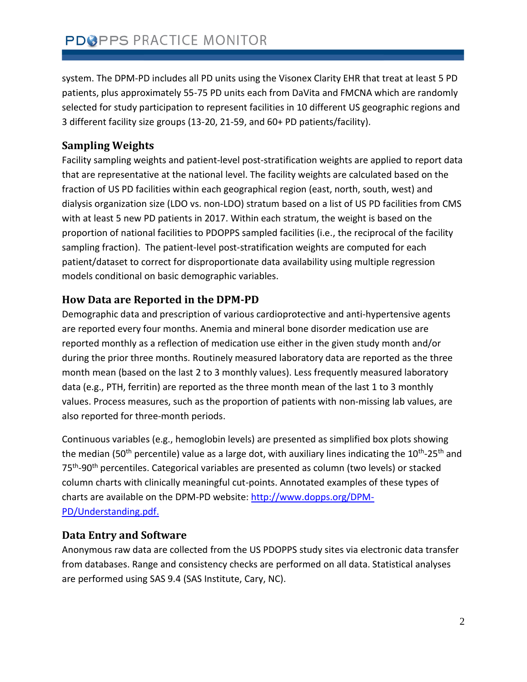system. The DPM-PD includes all PD units using the Visonex Clarity EHR that treat at least 5 PD patients, plus approximately 55-75 PD units each from DaVita and FMCNA which are randomly selected for study participation to represent facilities in 10 different US geographic regions and 3 different facility size groups (13-20, 21-59, and 60+ PD patients/facility).

## <span id="page-1-0"></span>**Sampling Weights**

Facility sampling weights and patient-level post-stratification weights are applied to report data that are representative at the national level. The facility weights are calculated based on the fraction of US PD facilities within each geographical region (east, north, south, west) and dialysis organization size (LDO vs. non-LDO) stratum based on a list of US PD facilities from CMS with at least 5 new PD patients in 2017. Within each stratum, the weight is based on the proportion of national facilities to PDOPPS sampled facilities (i.e., the reciprocal of the facility sampling fraction). The patient-level post-stratification weights are computed for each patient/dataset to correct for disproportionate data availability using multiple regression models conditional on basic demographic variables.

## <span id="page-1-1"></span>**How Data are Reported in the DPM-PD**

Demographic data and prescription of various cardioprotective and anti-hypertensive agents are reported every four months. Anemia and mineral bone disorder medication use are reported monthly as a reflection of medication use either in the given study month and/or during the prior three months. Routinely measured laboratory data are reported as the three month mean (based on the last 2 to 3 monthly values). Less frequently measured laboratory data (e.g., PTH, ferritin) are reported as the three month mean of the last 1 to 3 monthly values. Process measures, such as the proportion of patients with non-missing lab values, are also reported for three-month periods.

Continuous variables (e.g., hemoglobin levels) are presented as simplified box plots showing the median (50<sup>th</sup> percentile) value as a large dot, with auxiliary lines indicating the 10<sup>th</sup>-25<sup>th</sup> and 75<sup>th</sup>-90<sup>th</sup> percentiles. Categorical variables are presented as column (two levels) or stacked column charts with clinically meaningful cut-points. Annotated examples of these types of charts are available on the DPM-PD website[: http://www.dopps.org/DPM-](http://www.dopps.org/DPM-PD/Understanding.pdf)[PD/Understanding.pdf.](http://www.dopps.org/DPM-PD/Understanding.pdf)

## <span id="page-1-2"></span>**Data Entry and Software**

Anonymous raw data are collected from the US PDOPPS study sites via electronic data transfer from databases. Range and consistency checks are performed on all data. Statistical analyses are performed using SAS 9.4 (SAS Institute, Cary, NC).